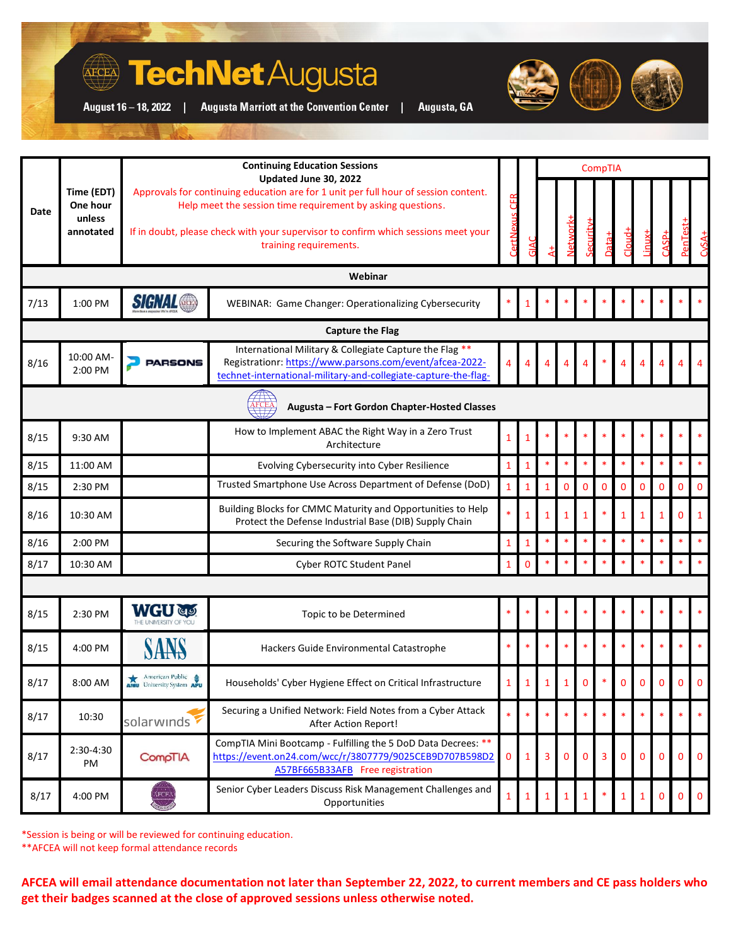## **TechNet** Augusta

**Augusta Marriott at the Convention Center** 

August 16 - 18, 2022 |

**AFCEA** 

|  | Augusta, GA |  |  |
|--|-------------|--|--|
|  |             |  |  |

|                                                       |                      | <b>Continuing Education Sessions</b>                                                                                                                                                                                                                                                        |                                                                                                                                                                                        | CompTIA        |              |                |             |          |   |          |              |              |          |              |
|-------------------------------------------------------|----------------------|---------------------------------------------------------------------------------------------------------------------------------------------------------------------------------------------------------------------------------------------------------------------------------------------|----------------------------------------------------------------------------------------------------------------------------------------------------------------------------------------|----------------|--------------|----------------|-------------|----------|---|----------|--------------|--------------|----------|--------------|
| Time (EDT)<br>One hour<br>Date<br>unless<br>annotated |                      | Updated June 30, 2022<br>Approvals for continuing education are for 1 unit per full hour of session content.<br>Help meet the session time requirement by asking questions.<br>If in doubt, please check with your supervisor to confirm which sessions meet your<br>training requirements. |                                                                                                                                                                                        | ertNexus CFR   |              |                |             | ecurity  |   | cloud-   | $inv+$       | $-43B+$      |          |              |
| Webinar                                               |                      |                                                                                                                                                                                                                                                                                             |                                                                                                                                                                                        |                |              |                |             |          |   |          |              |              |          |              |
| 7/13                                                  | 1:00 PM              | <b>SIGNAL</b>                                                                                                                                                                                                                                                                               | WEBINAR: Game Changer: Operationalizing Cybersecurity                                                                                                                                  |                |              |                |             |          |   |          |              |              |          |              |
|                                                       |                      |                                                                                                                                                                                                                                                                                             | <b>Capture the Flag</b>                                                                                                                                                                |                |              |                |             |          |   |          |              |              |          |              |
| 8/16                                                  | 10:00 AM-<br>2:00 PM | <b>PARSONS</b>                                                                                                                                                                                                                                                                              | International Military & Collegiate Capture the Flag **<br>Registrationr: https://www.parsons.com/event/afcea-2022-<br>technet-international-military-and-collegiate-capture-the-flag- |                |              | 4              | 4           |          |   |          |              |              |          |              |
| Augusta - Fort Gordon Chapter-Hosted Classes          |                      |                                                                                                                                                                                                                                                                                             |                                                                                                                                                                                        |                |              |                |             |          |   |          |              |              |          |              |
| 8/15                                                  | 9:30 AM              |                                                                                                                                                                                                                                                                                             | How to Implement ABAC the Right Way in a Zero Trust<br>Architecture                                                                                                                    | 1              | 1            |                |             |          |   |          |              |              |          |              |
| 8/15                                                  | 11:00 AM             |                                                                                                                                                                                                                                                                                             | Evolving Cybersecurity into Cyber Resilience                                                                                                                                           | $\mathbf{1}$   | 1            | $\ast$         | $\ast$      | $\ast$   |   | $\ast$   | $\ast$       | $\ast$       | $\ast$   |              |
| 8/15                                                  | 2:30 PM              |                                                                                                                                                                                                                                                                                             | Trusted Smartphone Use Across Department of Defense (DoD)                                                                                                                              | $\mathbf{1}$   | 1            | 1              | $\mathbf 0$ | 0        | 0 | 0        | $\mathbf{0}$ | $\mathbf{0}$ | $\Omega$ | $\Omega$     |
| 8/16                                                  | 10:30 AM             |                                                                                                                                                                                                                                                                                             | Building Blocks for CMMC Maturity and Opportunities to Help<br>Protect the Defense Industrial Base (DIB) Supply Chain                                                                  |                | 1            |                |             | 1        |   | 1        | 1            | 1            | $\Omega$ |              |
| 8/16                                                  | 2:00 PM              |                                                                                                                                                                                                                                                                                             | Securing the Software Supply Chain                                                                                                                                                     | $\overline{1}$ | 1            |                |             |          |   |          |              | $\ast$       | $\ast$   |              |
| 8/17                                                  | 10:30 AM             |                                                                                                                                                                                                                                                                                             | Cyber ROTC Student Panel                                                                                                                                                               | $\mathbf{1}$   | $\Omega$     |                |             |          |   |          |              |              |          |              |
|                                                       |                      |                                                                                                                                                                                                                                                                                             |                                                                                                                                                                                        |                |              |                |             |          |   |          |              |              |          |              |
| 8/15                                                  | 2:30 PM              | <b>WGU</b>                                                                                                                                                                                                                                                                                  | Topic to be Determined                                                                                                                                                                 |                |              |                |             |          |   |          |              |              |          |              |
| 8/15                                                  | 4:00 PM              |                                                                                                                                                                                                                                                                                             | Hackers Guide Environmental Catastrophe                                                                                                                                                |                |              |                |             |          |   |          |              |              |          |              |
| 8/17                                                  | 8:00 AM              | American Public<br>University System                                                                                                                                                                                                                                                        | Households' Cyber Hygiene Effect on Critical Infrastructure                                                                                                                            |                |              |                |             | ŋ        |   | O        | 0            |              | n        |              |
| 8/17                                                  | 10:30                | solarwinds                                                                                                                                                                                                                                                                                  | Securing a Unified Network: Field Notes from a Cyber Attack<br>After Action Report!                                                                                                    |                |              |                |             |          |   |          |              |              |          |              |
| 8/17                                                  | 2:30-4:30<br>PM      | CompTIA.                                                                                                                                                                                                                                                                                    | CompTIA Mini Bootcamp - Fulfilling the 5 DoD Data Decrees: **<br>https://event.on24.com/wcc/r/3807779/9025CEB9D707B598D2<br>A57BF665B33AFB Free registration                           | 0              | $\mathbf{1}$ | $\overline{3}$ | $\Omega$    | $\Omega$ | 3 | $\Omega$ | $\Omega$     | $\Omega$     | $\Omega$ | $\mathbf{0}$ |
| 8/17                                                  | 4:00 PM              | <b>AFCEA</b>                                                                                                                                                                                                                                                                                | Senior Cyber Leaders Discuss Risk Management Challenges and<br>Opportunities                                                                                                           |                | 1            |                |             |          |   | 1        | $\mathbf{1}$ | $\mathbf{0}$ | $\Omega$ | $\Omega$     |

\*Session is being or will be reviewed for continuing education.

\*\*AFCEA will not keep formal attendance records

**AFCEA will email attendance documentation not later than September 22, 2022, to current members and CE pass holders who get their badges scanned at the close of approved sessions unless otherwise noted.**